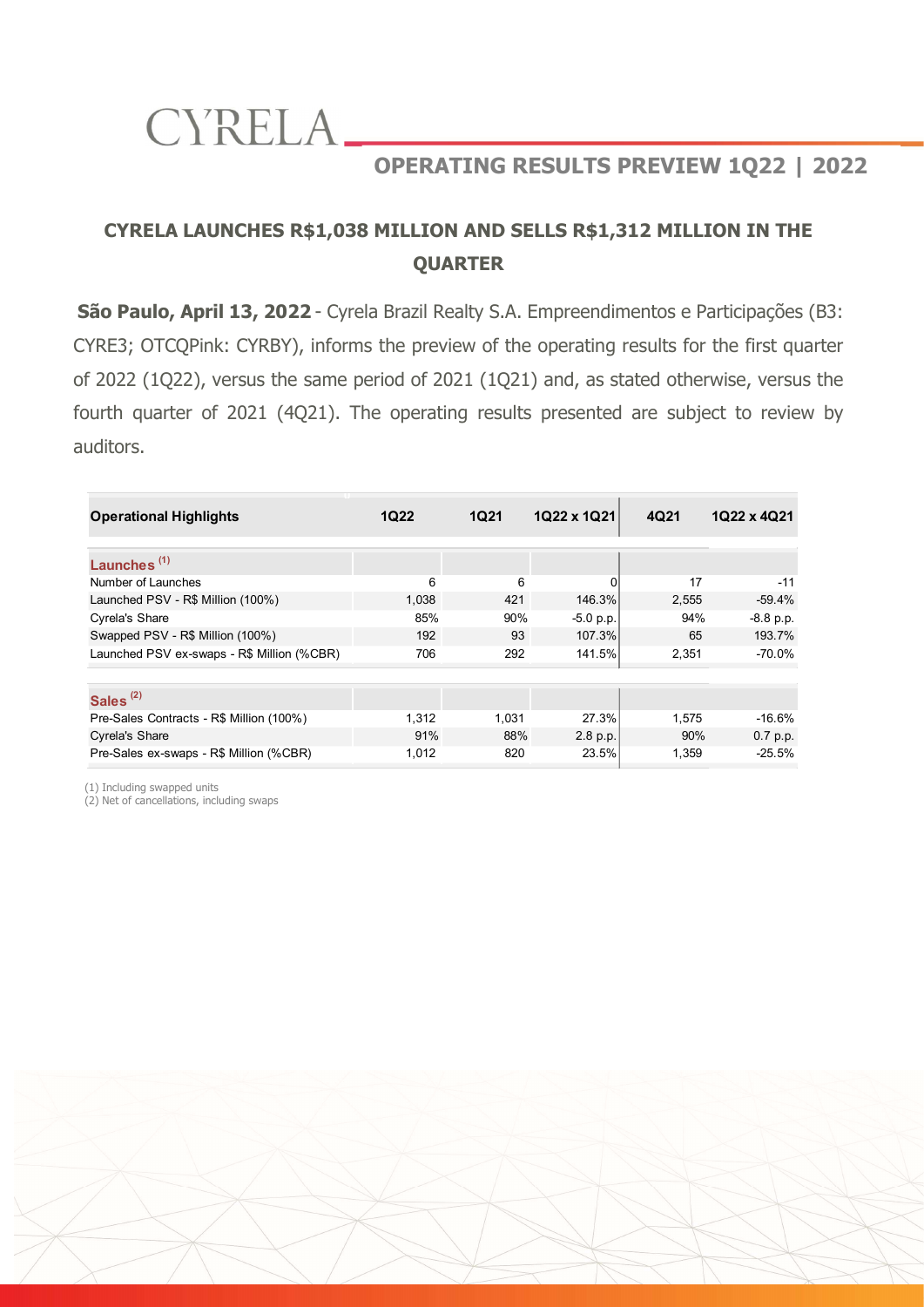

### CYRELA LAUNCHES R\$1,038 MILLION AND SELLS R\$1,312 MILLION IN THE **QUARTER**

São Paulo, April 13, 2022 - Cyrela Brazil Realty S.A. Empreendimentos e Participações (B3: CYRE3; OTCQPink: CYRBY), informs the preview of the operating results for the first quarter of 2022 (1Q22), versus the same period of 2021 (1Q21) and, as stated otherwise, versus the fourth quarter of 2021 (4Q21). The operating results presented are subject to review by auditors. CYRELA **COPERATING RESULTS PREVIEW 1Q22 | 2022**<br>
CYRELA LAUNCHES R\$1,038 MILLION AND SELLS R\$1,312 MILLION IN THE<br>
QUARTER<br>
TO PAULO, April 13, 2022 - Cyrela Brazil Realty S.A. Empreendimentos e Participações (B3:<br>
PRE3;

|                                                                                            |             | <b>QUARTER</b> |             |       |             |
|--------------------------------------------------------------------------------------------|-------------|----------------|-------------|-------|-------------|
| São Paulo, April 13, 2022 - Cyrela Brazil Realty S.A. Empreendimentos e Participações (B3: |             |                |             |       |             |
| YRE3; OTCQPink: CYRBY), informs the preview of the operating results for the first quarter |             |                |             |       |             |
| f 2022 (1Q22), versus the same period of 2021 (1Q21) and, as stated otherwise, versus the  |             |                |             |       |             |
|                                                                                            |             |                |             |       |             |
| burth quarter of 2021 (4Q21). The operating results presented are subject to review by     |             |                |             |       |             |
| uditors.                                                                                   |             |                |             |       |             |
|                                                                                            |             |                |             |       |             |
|                                                                                            |             |                |             |       |             |
| <b>Operational Highlights</b>                                                              | <b>1Q22</b> | <b>1Q21</b>    | 1Q22 x 1Q21 | 4Q21  | 1Q22 x 4Q21 |
|                                                                                            |             |                |             |       |             |
|                                                                                            |             |                |             |       |             |
| Launches <sup>(1)</sup>                                                                    |             |                |             |       |             |
| Number of Launches                                                                         | 6           | 6              | $\Omega$    | 17    | $-11$       |
| Launched PSV - R\$ Million (100%)                                                          | 1,038       | 421            | 146.3%      | 2,555 | $-59.4%$    |
| Cyrela's Share                                                                             | 85%         | 90%            | $-5.0 p.p.$ | 94%   | $-8.8$ p.p. |
| Swapped PSV - R\$ Million (100%)                                                           | 192         | 93             | 107.3%      | 65    | 193.7%      |
| Launched PSV ex-swaps - R\$ Million (%CBR)                                                 | 706         | 292            | 141.5%      | 2,351 | $-70.0%$    |
|                                                                                            |             |                |             |       |             |
| Sales <sup>(2)</sup>                                                                       | 1,312       |                | 27.3%       | 1,575 | $-16.6%$    |
| Pre-Sales Contracts - R\$ Million (100%)<br>Cyrela's Share                                 | 91%         | 1,031<br>88%   | 2.8 p.p.    | 90%   | 0.7 p.p.    |

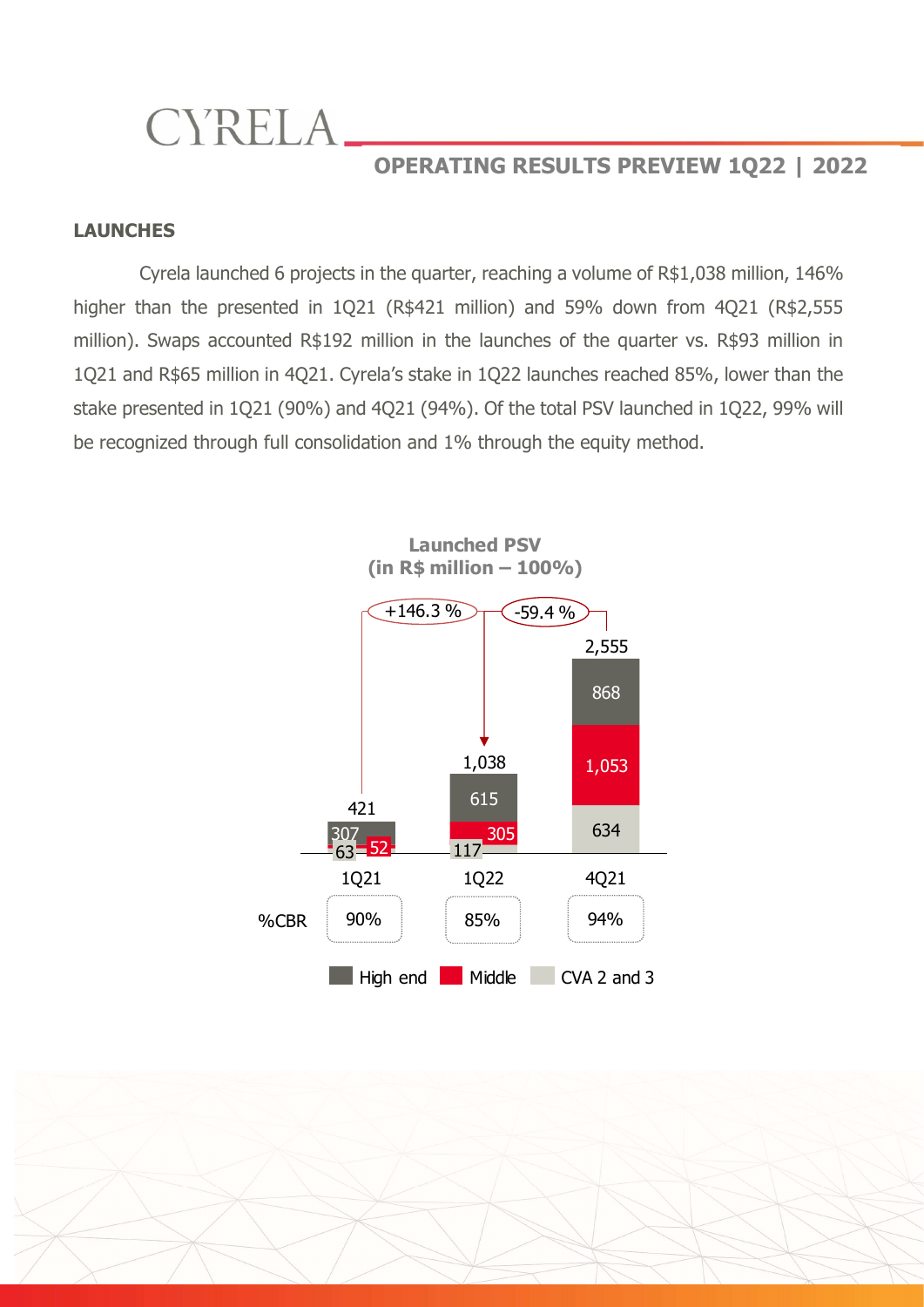CYRELA

#### OPERATING RESULTS PREVIEW 1Q22 | 2022

#### LAUNCHES

Cyrela launched 6 projects in the quarter, reaching a volume of R\$1,038 million, 146% higher than the presented in 1Q21 (R\$421 million) and 59% down from 4Q21 (R\$2,555 million). Swaps accounted R\$192 million in the launches of the quarter vs. R\$93 million in 1Q21 and R\$65 million in 4Q21. Cyrela's stake in 1Q22 launches reached 85%, lower than the stake presented in 1Q21 (90%) and 4Q21 (94%). Of the total PSV launched in 1Q22, 99% will be recognized through full consolidation and 1% through the equity method. **OPERATING RESULTS PREVIEW 1Q22 | 2022**<br>
1 the quarter, reaching a volume of R\$1,038 million, 146%<br>
1 (R\$421 million) and 59% down from 4Q21 (R\$2,555<br>
million in the launches of the quarter vs. R\$93 million in<br>
ela's stak



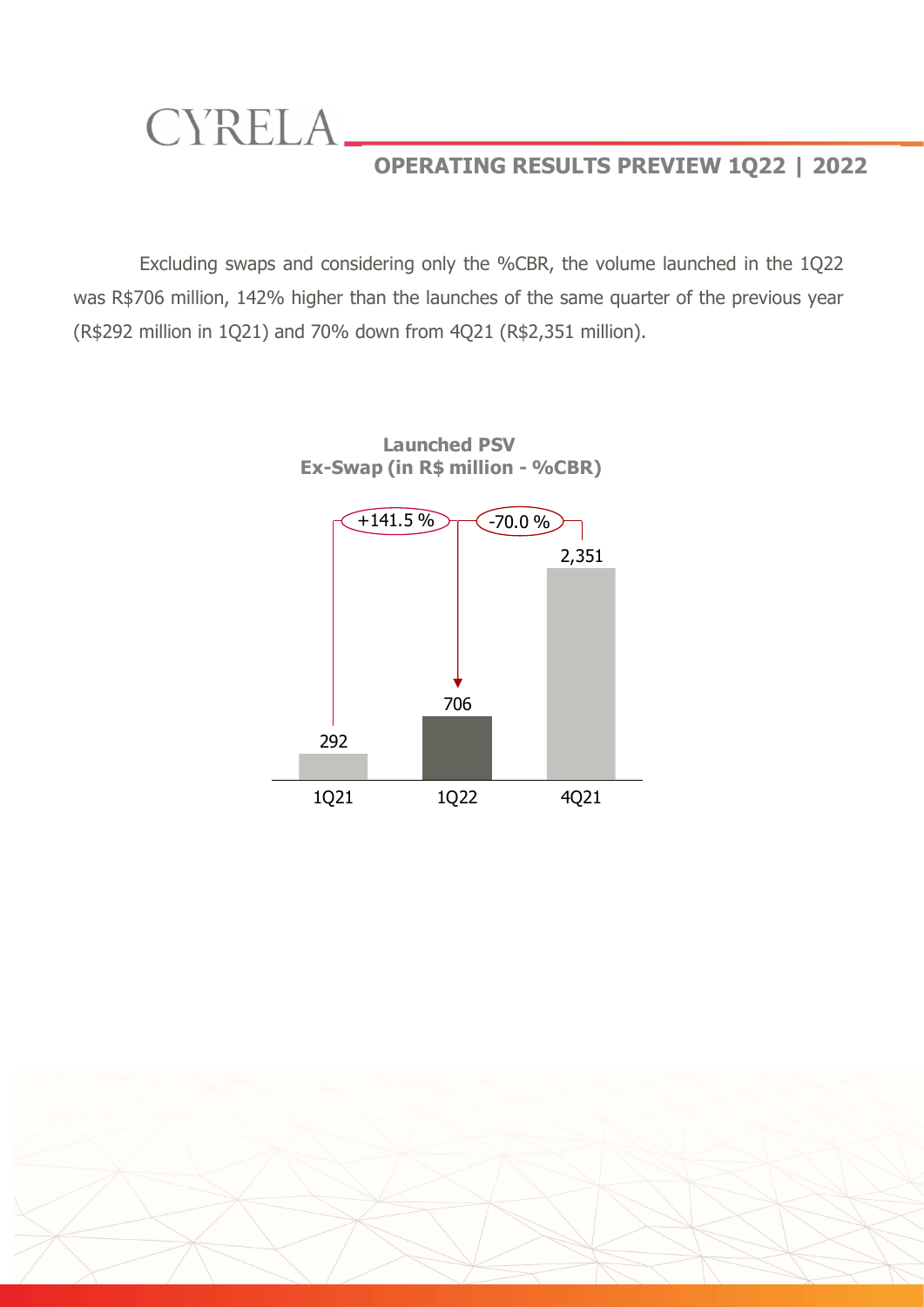Excluding swaps and considering only the %CBR, the volume launched in the 1Q22 was R\$706 million, 142% higher than the launches of the same quarter of the previous year (R\$292 million in 1Q21) and 70% down from 4Q21 (R\$2,351 million).



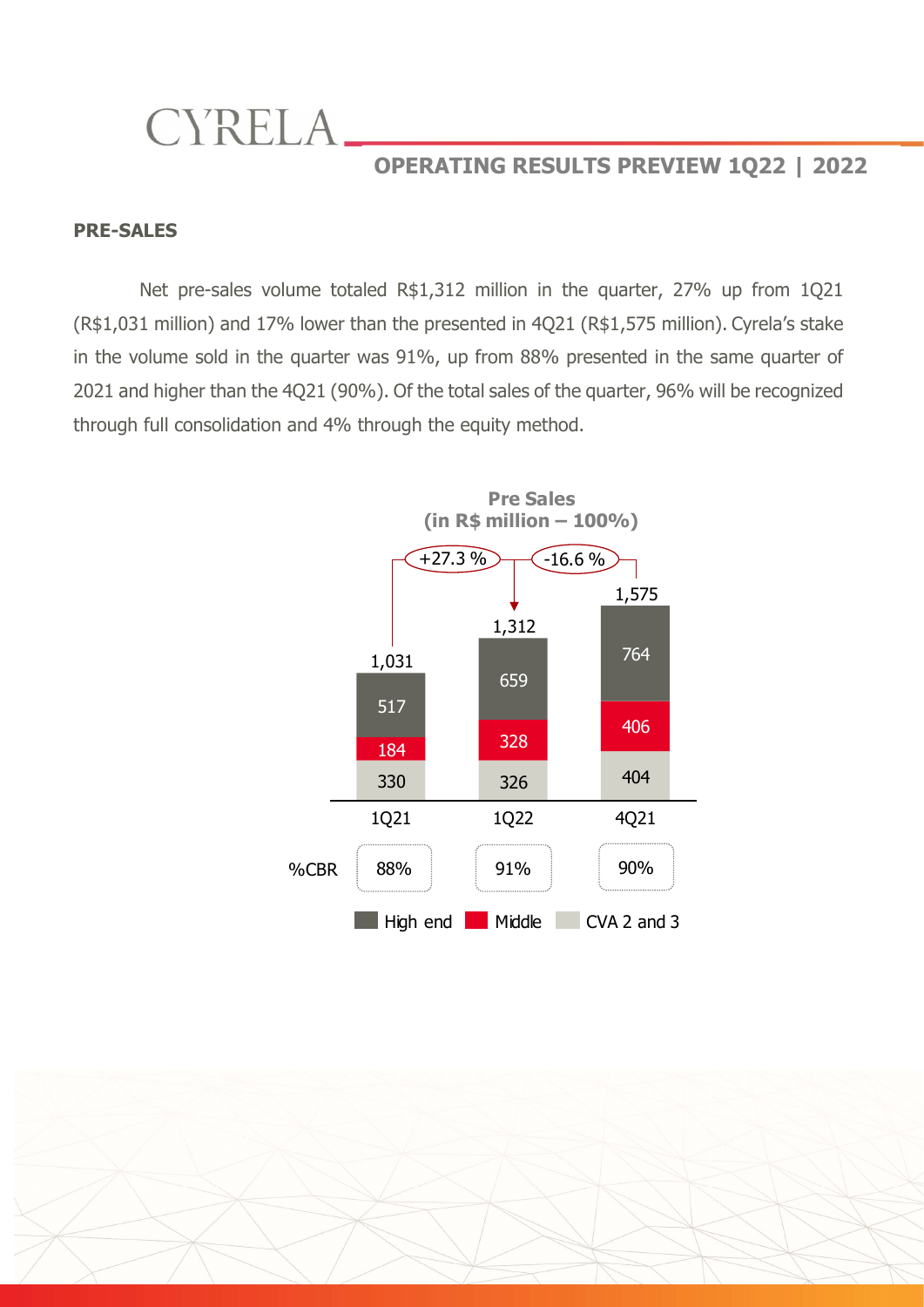CYRELA.

#### OPERATING RESULTS PREVIEW 1Q22 | 2022

#### PRE-SALES

Net pre-sales volume totaled R\$1,312 million in the quarter, 27% up from 1Q21 (R\$1,031 million) and 17% lower than the presented in 4Q21 (R\$1,575 million). Cyrela's stake in the volume sold in the quarter was 91%, up from 88% presented in the same quarter of 2021 and higher than the 4Q21 (90%). Of the total sales of the quarter, 96% will be recognized through full consolidation and 4% through the equity method. **EXATING RESULTS PREVIEW 1Q22 | 2022**<br>
1,312 million in the quarter, 27% up from 1Q21<br>
presented in 4Q21 (R\$1,575 million). Cyrela's stake<br>
6, up from 88% presented in the same quarter of<br>
the total sales of the quarter,



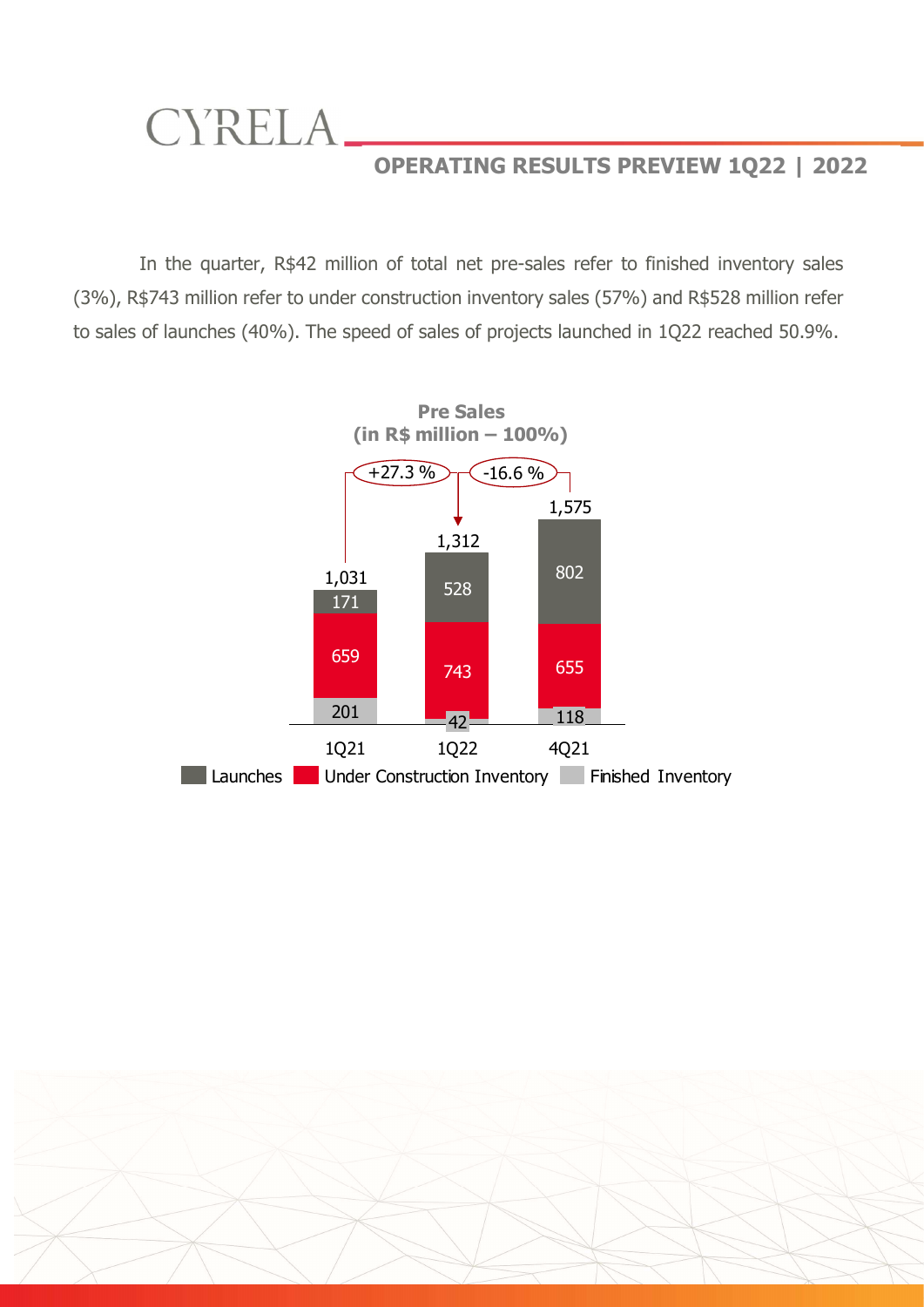In the quarter, R\$42 million of total net pre-sales refer to finished inventory sales (3%), R\$743 million refer to under construction inventory sales (57%) and R\$528 million refer to sales of launches (40%). The speed of sales of projects launched in 1Q22 reached 50.9%.

CYRELA.



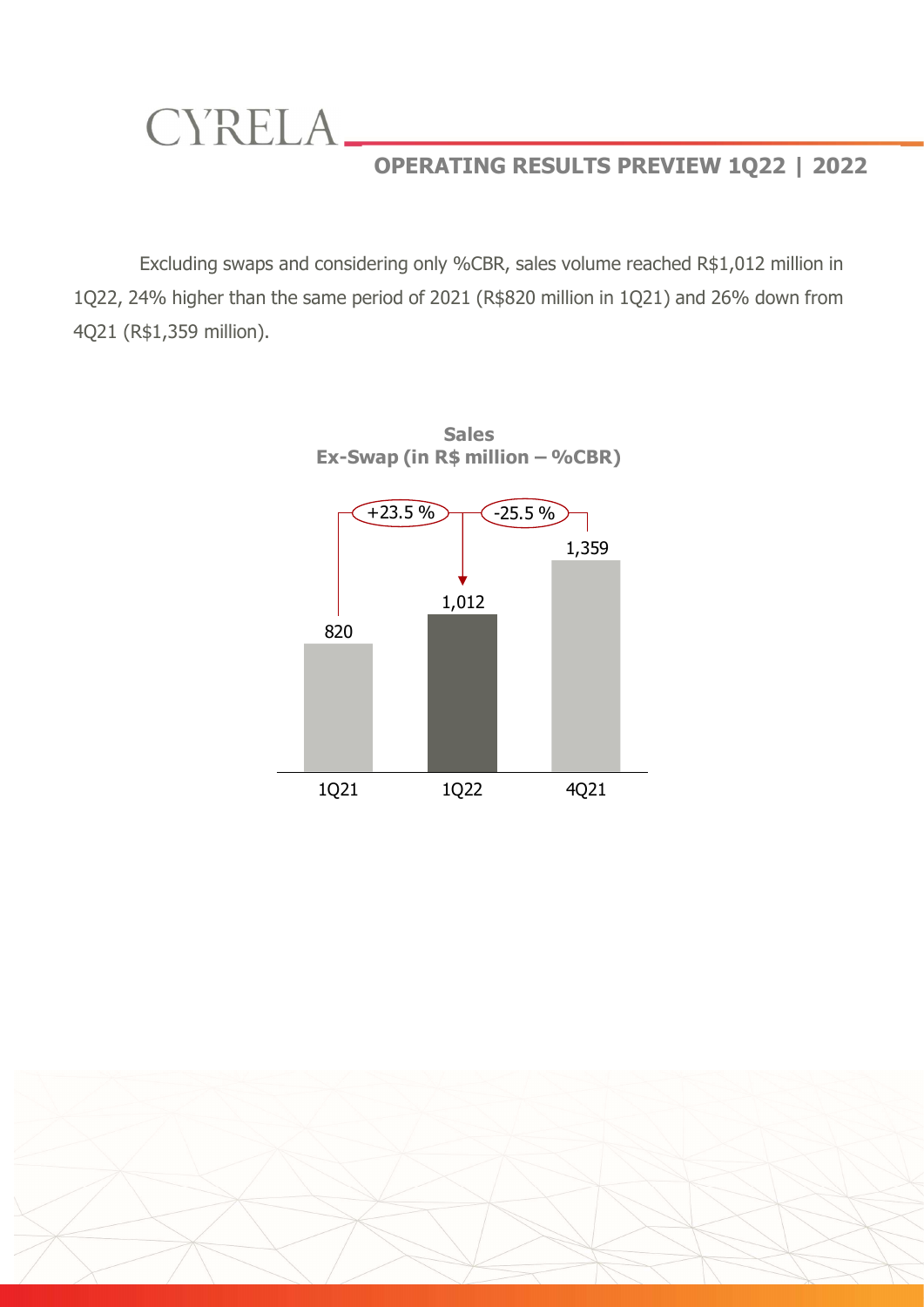

Excluding swaps and considering only %CBR, sales volume reached R\$1,012 million in 1Q22, 24% higher than the same period of 2021 (R\$820 million in 1Q21) and 26% down from 4Q21 (R\$1,359 million). **EXECUTE ASSESS ASSESS AND MANUTE PREVIEW 1Q22 | 2022**<br>
Considering only %CBR, sales volume reached R\$1,012 million in<br>
imme period of 2021 (R\$820 million in 1Q21) and 26% down from<br>
Sales<br>
Ex-Swap (in R\$ million – %CBR)<br>